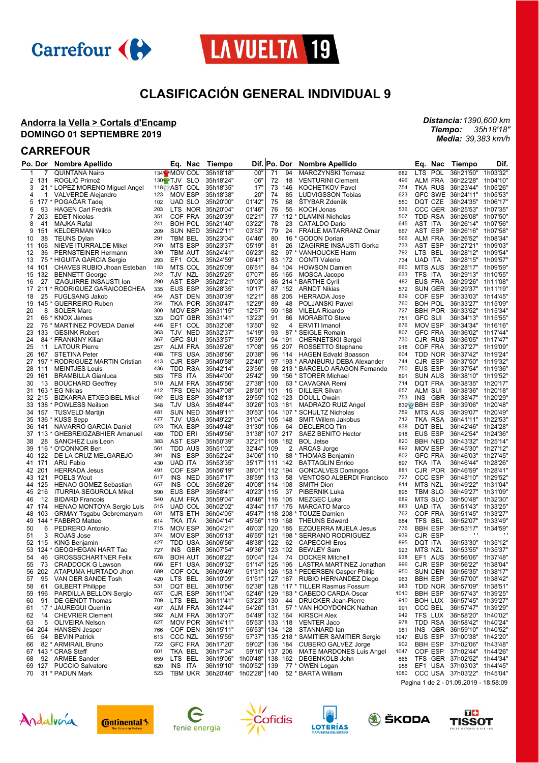



# **CLASIFICACIÓN GENERAL INDIVIDUAL 9**

### **Andorra la Vella > Cortals d'Encamp DOMINGO 01 SEPTIEMBRE 2019**

*Distancia: 1390,600 km Tiempo: Media: 35h18'18" 39,383 km/h*

## **CARREFOUR**

|    | Po. Dor | <b>Nombre Apellido</b>          |     | Eq.<br>Nac               | Tiempo                           | Dif. Po. Dor |     |         | <b>Nombre Apellido</b>             |      | Eq.<br>Nac                            | Tiempo             | Dif.     |
|----|---------|---------------------------------|-----|--------------------------|----------------------------------|--------------|-----|---------|------------------------------------|------|---------------------------------------|--------------------|----------|
| 1  |         | <b>QUINTANA Nairo</b>           |     | 134 <sup>2</sup> MOV COL | 35h18'18"                        | 00"          | 71  | 94      | <b>MARCZYNSKI Tomasz</b>           | 682  | <b>LTS</b><br>POL                     | 36h21'50"          | 1h03'32" |
|    | 2 131   | ROGLIC Primož                   |     | 130 <sup>6</sup> TJV SLO | 35h18'24"                        | 06"          | 72  | 18      | <b>VENTURINI Clement</b>           | 496  | ALM FRA                               | 36h22'28"          | 1h04'10  |
| 3  |         | 21 * LOPEZ MORENO Miguel Angel  |     | 118 AST COL              | 35h18'35"                        | 17"          | 73  | 146     | <b>KOCHETKOV Pavel</b>             | 754  | TKA RUS                               | 36h23'44"          | 1h05'26  |
| 4  | 1       | <b>VALVERDE Alejandro</b>       | 123 | MOV ESP                  | 35h18'38"                        | 20"          | 74  | 85      | <b>LUDVIGSSON Tobias</b>           | 623  | <b>GFC SWE</b>                        | 36h24'11"          | 1h05'53' |
| 5  |         | 177 * POGAČAR Tadej             | 102 | UAD SLO                  | 35h20'00"                        | 01'42"       | 75  | 68      | <b>STYBAR Zdeněk</b>               | 550  | DQT CZE                               | 36h24'35"          | 1h06'17  |
| 6  | 93      | <b>HAGEN Carl Fredrik</b>       | 203 | NOR<br>LTS.              | 35h20'04"                        | 01'46'       | 76  | 55      | <b>KOCH Jonas</b>                  | 536  | CCC GER                               | 36h25'53"          | 1h07'35  |
| 7  | 203     | <b>EDET Nicolas</b>             | 351 | COF FRA                  | 35h20'39"                        | 02'21'       | 77  |         | 112 * DLAMINI Nicholas             | 507  | TDD RSA                               | 36h26'08"          | 1h07'50' |
|    | 41      |                                 |     |                          |                                  |              |     | 23      |                                    |      | AST ITA                               |                    |          |
| 8  |         | <b>MAJKA Rafal</b>              | 241 | BOH POL                  | 35h21'40"                        | 03'22"       | 78  |         | CATALDO Dario                      | 645  |                                       | 36h26'14"          | 1h07'56  |
| 9  | 151     | <b>KELDERMAN Wilco</b>          | 209 | SUN NED                  | 35h22'11"                        | 03'53'       | 79  | 24      | FRAILE MATARRANZ Omar              | 667  | AST ESP                               | 36h26'16"          | 1h07'58  |
| 10 | 38      | <b>TEUNS Dylan</b>              | 291 | TBM BEL                  | 35h23'04"                        | 04'46"       | 80  |         | 16 * GODON Dorian                  | 566  | <b>ALM FRA</b>                        | 36h26'52"          | 1h08'34  |
| 11 | 106     | NIEVE ITURRALDE Mikel           | 250 | MTS ESP                  | 35h23'37"                        | 05'19"       | 81  | 26      | IZAGIRRE INSAUSTI Gorka            | 733  | AST ESP                               | 36h27'21"          | 1h09'03  |
| 12 | 36      | PERNSTEINER Hermann             | 330 | TBM AUT                  | 35h24'41"                        | 06'23"       | 82  |         | 97 * VANHOUCKE Harm                | 792  | LTS BEL                               | 36h28'12"          | 1h09'54' |
| 13 | 75      | * HIGUITA GARCIA Sergio         | 293 | EF1 COL                  | 35h24'59"                        | 06'41"       |     | 83 172  | <b>CONTI Valerio</b>               | 734  | UAD ITA                               | 36h28'15"          | 1h09'57' |
|    | 14 101  | CHAVES RUBIO Jhoan Esteban      | 183 | MTS COL                  | 35h25'09"                        | 06'51"       |     | 84 104  | <b>HOWSON Damien</b>               | 660  | <b>MTS AUS</b>                        | 36h28'17"          | 1h09'59  |
| 15 | 132     | <b>BENNETT George</b>           | 242 | TJV NZL                  | 35h25'25"                        | 07'07"       |     | 85 165  | MOSCA Jacopo                       | 633  | TFS ITA                               | 36h29'13"          | 1h10'55  |
| 16 | 27      | <b>IZAGUIRRE INSAUSTI Ion</b>   | 290 | AST ESP                  | 35h28'21"                        | 10'03"       |     |         | 86 214 * BARTHE Cyril              | 482  | EUS FRA                               | 36h29'26"          | 1h11'08  |
|    |         | 17 211 * RODRIGUEZ GARAICOECHEA | 335 | EUS ESP                  | 35h28'35"                        | 10'17"       |     | 87 152  | <b>ARNDT Nikias</b>                | 572  | SUN GER                               | 36h29'37"          | 1h11'19' |
| 18 | 25      | <b>FUGLSANG Jakob</b>           | 454 | AST DEN                  | 35h30'39"                        | 12'21"       |     | 88 205  | <b>HERRADA Jose</b>                | 839  | COF ESP                               | 36h33'03"          | 1h14'45  |
| 19 | 145     | * GUERREIRO Ruben               | 254 | TKA POR 35h30'47"        |                                  | 12'29"       | 89  | 48      | POLJANSKI Pawel                    | 760  | <b>BOH POL</b>                        | 36h33'27"          | 1h15'09' |
| 20 | 8       | <b>SOLER Marc</b>               | 300 | MOV ESP                  | 35h31'15"                        | 12'57"       |     | 90 188  | <b>VILELA Ricardo</b>              | 727  | <b>BBH POR</b>                        | 36h33'52"          | 1h15'34  |
|    |         |                                 | 323 | DQT GBR                  | 35h31'41"                        | 13'23"       | 91  | 86      |                                    |      | <b>GFC SUI</b>                        | 36h34'13"          | 1h15'55  |
| 21 |         | 66 * KNOX James                 |     |                          |                                  |              |     |         | <b>MORABITO Steve</b>              | 751  |                                       |                    |          |
| 22 | 76      | * MARTINEZ POVEDA Daniel        | 446 | EF1 COL                  | 35h32'08"                        | 13'50"       | 92  | 4       | <b>ERVITI Imanol</b>               | 676  | <b>MOV ESP</b>                        | 36h34'34"          | 1h16'16  |
| 23 | 133     | <b>GESINK Robert</b>            | 363 | TJV NED                  | 35h32'37"                        | 14'19"       | 93  |         | 87 * SEIGLE Romain                 | 807  | <b>GFC FRA</b>                        | 36h36'02"          | 1h17'44  |
| 24 |         | 84 * FRANKINY Kilian            | 367 | <b>GFC SUI</b>           | 35h33'57"                        | 15'39"       |     | 94 191  | <b>CHERNETSKII Sergei</b>          | 730  | CJR RUS                               | 36h36'05"          | 1h17'47' |
| 25 | 11      | <b>LATOUR Pierre</b>            | 257 | ALM FRA                  | 35h35'26"                        | 17'08"       |     | 95 207  | ROSSETTO Stephane                  | 918  | COF FRA                               | 36h37'27"          | 1h19'09' |
| 26 |         | 167 STETINA Peter               | 408 | TFS USA                  | 35h38'56"                        | 20'38'       |     | 96 114  | <b>HAGEN Edvald Boasson</b>        | 604  | TDD NOR                               | 36h37'42"          | 1h19'24' |
| 27 |         | 197 * RODRIGUEZ MARTIN Cristian | 413 | CJR ESP                  | 35h40'58"                        | 22'40"       |     |         | 97 193 * ARANBURU DEBA Alexander   | 744  | CJR ESP                               | 36h37'50"          | 1h19'32' |
| 28 | 111     | <b>MEINTJES Louis</b>           | 436 | TDD RSA                  | 35h42'14"                        | 23'56"       |     |         | 98 213 * BARCELO ARAGON Fernando   | 750  | EUS ESP                               | 36h37'54"          | 1h19'36  |
| 29 | 161     | <b>BRAMBILLA Gianluca</b>       | 583 | TFS ITA                  | 35h44'00"                        | 25'42"       |     |         | 99 156 * STORER Michael            | 891  | <b>SUN AUS</b>                        | 36h38'10"          | 1h19'52  |
| 30 | 13      | <b>BOUCHARD Geoffrey</b>        | 510 | ALM FRA                  | 35h45'56"                        | 27'38"       | 100 |         | 63 * CAVAGNA Remi                  | 714  | <b>DOT FRA</b>                        | 36h38'35"          | 1h20'17' |
| 31 |         | 163 * EG Niklas                 | 412 | TFS DEN                  | 35h47'08"                        | 28'50"       | 101 | 15      | <b>DILLIER Silvan</b>              | 657  | ALM SUI                               | 36h38'36"          | 1h20'18' |
|    | 32 215  |                                 | 592 | EUS ESP                  | 35h48'13"                        | 29'55'       |     | 102 123 |                                    | 753  | INS<br>GBR                            | 36h38'47"          | 1h20'29  |
|    |         | <b>BIZKARRA ETXEGIBEL Mikel</b> |     |                          |                                  |              |     |         | DOULL Owain                        |      |                                       |                    |          |
| 33 | 138     | * POWLESS Neilson               | 348 | TJV USA                  | 35h48'44"                        | 30'26'       |     | 103 181 | MADRAZO RUIZ Angel                 |      | 839 BBH ESP                           | 36h39'06"          | 1h20'48  |
|    | 34 157  | <b>TUSVELD Martijn</b>          | 481 | SUN NED                  | 35h49'11"                        | 30'53"       | 104 |         | 107 * SCHULTZ Nicholas             | 759  | MTS AUS                               | 36h39'07"          | 1h20'49' |
|    |         | 35 136 * KUSS Sepp              | 477 | TJV USA                  | 35h49'22"                        | 31'04"       |     | 105 148 | <b>SMIT Willem Jakobus</b>         | 712  | TKA RSA                               | 36h41'11" 1h22'53  |          |
| 36 | 141     | NAVARRO GARCIA Daniel           | 523 | TKA ESP                  | 35h49'48"                        | 31'30"       | 106 | 64      | <b>DECLERCQ Tim</b>                | 838  | DQT BEL                               | 36h42'46"          | 1h24'28' |
| 37 | 113     | * GHEBREIGZABHIER Amanuel       | 480 | TDD ERI                  | 35h49'56"                        | 31'38"       |     | 107 217 | <b>SAEZ BENITO Hector</b>          | 918  | EUS ESP                               | 36h42'54"          | 1h24'36' |
| 38 | 28      | SANCHEZ Luis Leon               | 383 | AST ESP                  | 35h50'39"                        | 32'21"       |     | 108 182 | <b>BOL Jetse</b>                   | 820  | <b>BBH NED</b>                        | 36h43'32"          | 1h25'14  |
| 39 | 116     | * O'CONNOR Ben                  | 561 | TDD AUS                  | 35h51'02"                        | 32'44"       | 109 | 2       | ARCAS Jorge                        | 892  | MOV ESP                               | 36h45'30"          | 1h27'12' |
|    | 40 122  | DE LA CRUZ MELGAREJO            | 391 | <b>INS</b><br>ESP        | 35h52'24"                        | 34'06"       | 110 |         | 88 * THOMAS Benjamin               | 802  | <b>GFC FRA</b>                        | 36h46'03"          | 1h27'45  |
|    | 41 171  | ARU Fabio                       | 430 | <b>UAD ITA</b>           | 35h53'35"                        | 35'17"       |     | 111 142 | <b>BATTAGLIN Enrico</b>            | 897  | TKA ITA                               | 36h46'44"          | 1h28'26  |
|    | 42 201  | <b>HERRADA Jesus</b>            | 491 | COF ESP                  | 35h56'19"                        | 38'01"       |     | 112 194 | <b>GONCALVES Domingos</b>          | 881  | CJR POR                               | 36h46'59"          | 1h28'41  |
|    | 43 121  | <b>POELS Wout</b>               | 617 | INS.<br>NED              | 35h57'17"                        | 38'59"       | 113 | 58      | <b>VENTOSO ALBERDI Francisco</b>   | 727  | CCC ESP                               | 36h48'10"          | 1h29'52' |
|    | 44 125  | <b>HENAO GOMEZ Sebastian</b>    | 657 | INS.<br>COL              | 35h58'26"                        | 40'08'       |     | 114 108 | SMITH Dion                         | 814  | MTS NZL                               | 36h49'22"          | 1h31'04  |
|    |         |                                 |     |                          |                                  |              |     |         |                                    | 895  |                                       |                    |          |
|    | 45 216  | <b>ITURRIA SEGUROLA Mikel</b>   | 590 | EUS ESP                  | 35h58'41"                        | 40'23"       | 115 | 37      | PIBERNIK Luka                      |      | TBM SLO                               | 36h49'27"          | 1h31'09' |
| 46 | 12      | <b>BIDARD Francois</b>          | 540 | ALM FRA                  | 35h59'04"                        | 40'46"       |     | 116 105 | MEZGEC Luka                        | 689  | MTS SLO                               | 36h50'48"          | 1h32'30' |
|    | 47 174  | HENAO MONTOYA Sergio Luis       | 515 | UAD COL                  | 36h02'02"                        | 43'44"       |     | 117 175 | <b>MARCATO Marco</b>               | 883  | <b>UAD ITA</b>                        | 36h51'43"          | 1h33'25  |
| 48 | 103     | <b>GRMAY Tsgabu Gebremaryam</b> | 631 | MTS ETH                  | 36h04'05"                        | 45'47"       |     |         | 118 208 * TOUZE Damien             | 762  | COF FRA                               | 36h51'45"          | 1h33'27  |
|    |         | 49 144 * FABBRO Matteo          | 614 | TKA ITA                  | 36h04'14"                        | 45'56"       |     | 119 168 | <b>THEUNS Edward</b>               | 684  | TFS BEL                               | 36h52'07"          | 1h33'49" |
| 50 | 6       | PEDRERO Antonio                 | 715 | MOV ESP                  | 36h04'21"                        | 46'03'       |     | 120 185 | <b>EZQUERRA MUELA Jesus</b>        | 776  | <b>BBH ESP</b>                        | 36h53'17"          | 1h34'59' |
| 51 | 3       | ROJAS Jose                      | 374 | MOV ESP                  | 36h05'13"                        | 46'55"       |     |         | 121 198 * SERRANO RODRIGUEZ        | 939  | CJR ESP                               |                    |          |
|    | 52 115  | <b>KING Benjamin</b>            | 427 | TDD USA                  | 36h06'56"                        | 48'38"       | 122 | 62      | <b>CAPECCHI Eros</b>               | 895  | DQT ITA                               | 36h53'30"          | 1h35'12" |
| 53 |         | 124 * GEOGHEGAN HART Tao        | 727 | <b>INS</b><br>GBR        | 36h07'54"                        | 49'36'       |     | 123 102 | <b>BEWLEY Sam</b>                  | 923  | <b>MTS NZL</b>                        | 36h53'55"          | 1h35'37' |
| 54 | 46      | <b>GROSSSCHARTNER Felix</b>     | 678 | BOH AUT                  | 36h08'22"                        | 50'04"       | 124 | 74      | <b>DOCKER Mitchell</b>             | 938  | EF1 AUS                               | 36h56'06"          | 1h37'48' |
| 55 | 73      | <b>CRADDOCK G Lawson</b>        | 666 | EF1 USA 36h09'32"        |                                  | 51'14"       |     | 125 195 | LASTRA MARTINEZ Jonathan           | 996  | CJR ESP                               | 36h56'22" 1h38'04" |          |
|    | 56 202  | ATAPUMA HURTADO Jhon            | 689 | COF COL 36h09'49"        |                                  | 51'31"       |     |         | 126 153 * PEDERSEN Casper Phillip  | 950  | SUN DEN                               | 36h56'35" 1h38'17" |          |
|    |         |                                 |     |                          |                                  |              |     |         | 127 187 RUBIO HERNANDEZ Diego      |      |                                       |                    |          |
| 57 | 95      | VAN DER SANDE Tosh              | 420 | LTS BEL                  | 36h10'09"                        | 51'51"       |     |         |                                    | 963  | BBH ESP                               | 36h57'00"          | 1h38'42" |
| 58 | 61      | <b>GILBERT Philippe</b>         | 531 | DQT BEL                  | 36h10'56"                        | 52'38"       |     |         | 128 117 * TILLER Rasmus Fossum     | 983  | TDD NOR                               | 36h57'09"          | 1h38'51" |
| 59 | 196     | PARDILLA BELLON Sergio          | 657 | CJR ESP                  | 36h11'04"                        | 52'46"       |     |         | 129 183 * CABEDO CARDA Oscar       | 1010 | <b>BBH ESP</b>                        | 36h57'43"          | 1h39'25" |
| 60 | 91      | DE GENDT Thomas                 | 709 | LTS BEL                  | 36h11'41"                        | 53'23"       | 130 |         | 44 DRUCKER Jean-Pierre             | 910  | <b>BOH LUX</b>                        | 36h57'45"          | 1h39'27" |
| 61 |         | 17 * JAUREGUI Quentin           | 497 | ALM FRA                  | 36h12'44"                        | 54'26"       | 131 |         | 57 * VAN HOOYDONCK Nathan          | 991  | CCC BEL                               | 36h57'47"          | 1h39'29" |
| 62 | 14      | <b>CHEVRIER Clement</b>         | 592 | ALM FRA                  | 36h13'07"                        | 54'49"       |     |         | 132 164 KIRSCH Alex                | 942  | TFS LUX                               | 36h58'20"          | 1h40'02" |
| 63 | 5       | <b>OLIVEIRA Nelson</b>          | 627 | MOV POR 36h14'11"        |                                  | 55'53"       |     |         | 133 118 VENTER Jaco                | 978  | TDD RSA                               | 36h58'42"          | 1h40'24" |
|    | 64 204  | <b>HANSEN Jesper</b>            | 766 | COF DEN 36h15'11"        |                                  | 56'53"       |     |         | 134 128 STANNARD lan               | 981  | INS GBR                               | 36h59'10"          | 1h40'52" |
| 65 |         | 54 BEVIN Patrick                | 613 | CCC NZL                  | 36h15'55"                        | 57'37"       |     |         | 135 218 * SAMITIER SAMITIER Sergio | 1047 | EUS ESP                               | 37h00'38"          | 1h42'20" |
| 66 |         | 82 * ARMIRAIL Bruno             | 722 | GFC FRA                  | 36h17'20"                        | 59'02"       |     |         | 136 184 CUBERO GALVEZ Jorge        | 902  | <b>BBH ESP</b>                        | 37h02'06"          | 1h43'48' |
|    |         | 67 143 * CRAS Steff             | 601 | TKA BEL                  | 36h17'34"                        | 59'16"       |     |         | 137 206 MATE MARDONES Luis Angel   | 1047 | COF ESP                               | 37h02'44"          | 1h44'26' |
|    |         | 92 ARMEE Sander                 | 659 | LTS BEL                  | 36h19'06" 1h00'48"               |              |     |         | 138 162 DEGENKOLB John             | 865  | TFS GER 37h02'52"                     |                    | 1h44'34' |
| 68 |         |                                 |     |                          |                                  |              |     |         |                                    |      |                                       |                    |          |
| 69 | 127     | <b>PUCCIO Salvatore</b>         | 620 | INS ITA                  | 36h19'10"                        | 1h00'52"     | 139 |         | 77 * OWEN Logan                    | 958  | EF1 USA 37h03'03"                     |                    | 1h44'45' |
| 70 |         | 31 * PADUN Mark                 | 523 |                          | TBM UKR 36h20'46" 1h02'28"   140 |              |     |         | 52 * BARTA William                 | 1080 | CCC USA 37h03'22" 1h45'04"            |                    |          |
|    |         |                                 |     |                          |                                  |              |     |         |                                    |      | Pagina 1 de 2 - 01.09.2019 - 18:58:09 |                    |          |

Andalvería